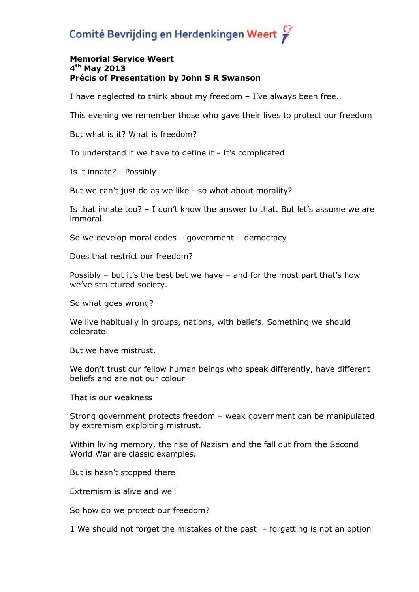## Comité Bevrijding en Herdenkingen Weert

## **Memorial Service Weert 4 th May 2013 Précis of Presentation by John S R Swanson**

I have neglected to think about my freedom – I've always been free.

This evening we remember those who gave their lives to protect our freedom

But what is it? What is freedom?

To understand it we have to define it - It's complicated

Is it innate? - Possibly

But we can't just do as we like - so what about morality?

Is that innate too? – I don't know the answer to that. But let's assume we are immoral.

So we develop moral codes – government – democracy

Does that restrict our freedom?

Possibly – but it's the best bet we have – and for the most part that's how we've structured society.

So what goes wrong?

We live habitually in groups, nations, with beliefs. Something we should celebrate.

But we have mistrust.

We don't trust our fellow human beings who speak differently, have different beliefs and are not our colour

That is our weakness

Strong government protects freedom – weak government can be manipulated by extremism exploiting mistrust.

Within living memory, the rise of Nazism and the fall out from the Second World War are classic examples.

But is hasn't stopped there

Extremism is alive and well

So how do we protect our freedom?

1 We should not forget the mistakes of the past – forgetting is not an option